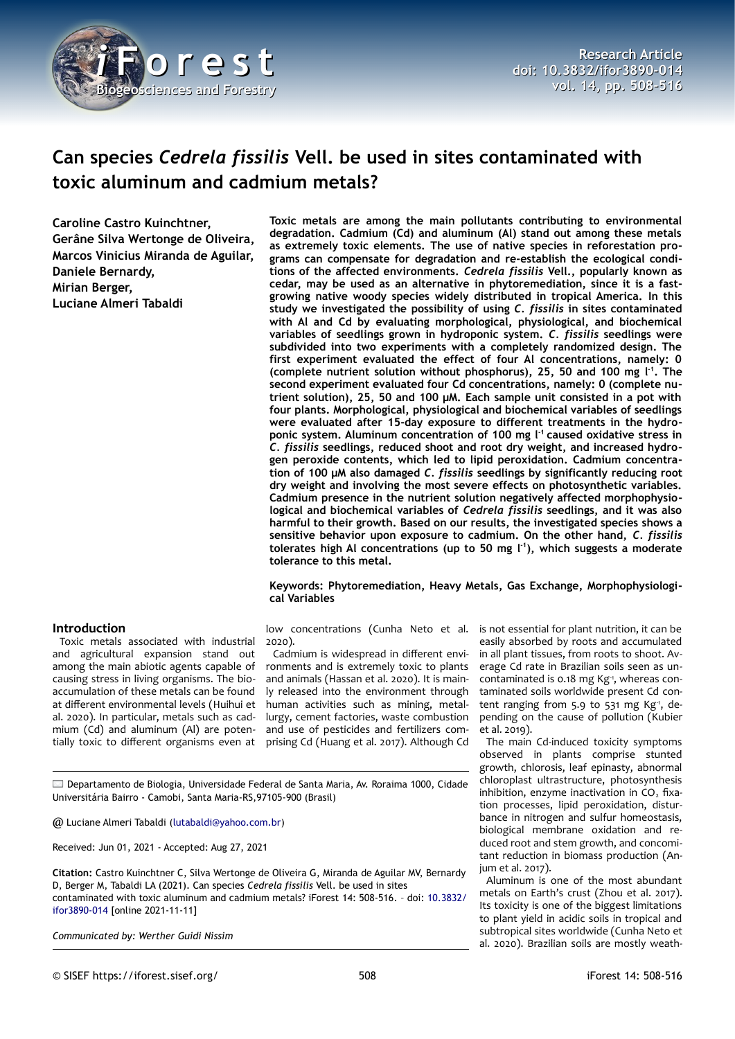

# **Can species** *Cedrela fissilis* **Vell. be used in sites contaminated with toxic aluminum and cadmium metals?**

**Caroline Castro Kuinchtner, Gerâne Silva Wertonge de Oliveira, Marcos Vinicius Miranda de Aguilar, Daniele Bernardy, Mirian Berger, Luciane Almeri Tabaldi**

**degradation. Cadmium (Cd) and aluminum (Al) stand out among these metals as extremely toxic elements. The use of native species in reforestation programs can compensate for degradation and re-establish the ecological conditions of the affected environments.** *Cedrela fissilis* **Vell., popularly known as cedar, may be used as an alternative in phytoremediation, since it is a fastgrowing native woody species widely distributed in tropical America. In this study we investigated the possibility of using** *C. fissilis* **in sites contaminated with Al and Cd by evaluating morphological, physiological, and biochemical variables of seedlings grown in hydroponic system.** *C. fissilis* **seedlings were subdivided into two experiments with a completely randomized design. The first experiment evaluated the effect of four Al concentrations, namely: 0** (complete nutrient solution without phosphorus), 25, 50 and 100 mg l<sup>-1</sup>. The **second experiment evaluated four Cd concentrations, namely: 0 (complete nutrient solution), 25, 50 and 100 μM. Each sample unit consisted in a pot with four plants. Morphological, physiological and biochemical variables of seedlings were evaluated after 15-day exposure to different treatments in the hydroponic system. Aluminum concentration of 100 mg l -1 caused oxidative stress in** *C. fissilis* **seedlings, reduced shoot and root dry weight, and increased hydrogen peroxide contents, which led to lipid peroxidation. Cadmium concentration of 100 µM also damaged** *C. fissilis* **seedlings by significantly reducing root dry weight and involving the most severe effects on photosynthetic variables. Cadmium presence in the nutrient solution negatively affected morphophysiological and biochemical variables of** *Cedrela fissilis* **seedlings, and it was also harmful to their growth. Based on our results, the investigated species shows a sensitive behavior upon exposure to cadmium. On the other hand,** *C. fissilis* **tolerates high Al concentrations (up to 50 mg l -1), which suggests a moderate tolerance to this metal.**

**Toxic metals are among the main pollutants contributing to environmental**

**Keywords: Phytoremediation, Heavy Metals, Gas Exchange, Morphophysiological Variables**

## **Introduction**

Toxic metals associated with industrial and agricultural expansion stand out among the main abiotic agents capable of causing stress in living organisms. The bioaccumulation of these metals can be found at different environmental levels (Huihui et al. 2020). In particular, metals such as cadmium (Cd) and aluminum (Al) are potentially toxic to different organisms even at

low concentrations (Cunha Neto et al. is not essential for plant nutrition, it can be 2020).

Cadmium is widespread in different environments and is extremely toxic to plants and animals (Hassan et al. 2020). It is mainly released into the environment through human activities such as mining, metallurgy, cement factories, waste combustion and use of pesticides and fertilizers comprising Cd (Huang et al. 2017). Although Cd

easily absorbed by roots and accumulated in all plant tissues, from roots to shoot. Average Cd rate in Brazilian soils seen as uncontaminated is 0.18 mg Kg-1, whereas contaminated soils worldwide present Cd content ranging from 5.9 to 531 mg  $Kg<sup>-1</sup>$ , depending on the cause of pollution (Kubier et al. 2019).

The main Cd-induced toxicity symptoms observed in plants comprise stunted growth, chlorosis, leaf epinasty, abnormal chloroplast ultrastructure, photosynthesis inhibition, enzyme inactivation in CO<sub>2</sub> fixation processes, lipid peroxidation, disturbance in nitrogen and sulfur homeostasis, biological membrane oxidation and reduced root and stem growth, and concomitant reduction in biomass production (Anjum et al. 2017).

Aluminum is one of the most abundant metals on Earth's crust (Zhou et al. 2017). Its toxicity is one of the biggest limitations to plant yield in acidic soils in tropical and subtropical sites worldwide (Cunha Neto et al. 2020). Brazilian soils are mostly weath-

Departamento de Biologia, Universidade Federal de Santa Maria, Av. Roraima 1000, Cidade Universitária Bairro - Camobi, Santa Maria-RS,97105-900 (Brasil)

@ Luciane Almeri Tabaldi [\(lutabaldi@yahoo.com.br\)](mailto:lutabaldi@yahoo.com.br)

Received: Jun 01, 2021 - Accepted: Aug 27, 2021

**Citation:** Castro Kuinchtner C, Silva Wertonge de Oliveira G, Miranda de Aguilar MV, Bernardy D, Berger M, Tabaldi LA (2021). Can species *Cedrela fissilis* Vell. be used in sites contaminated with toxic aluminum and cadmium metals? iForest 14: 508-516. – doi: [10.3832/](http://www.sisef.it/iforest/contents/?id=ifor3890-014) [ifor3890-014](http://www.sisef.it/iforest/contents/?id=ifor3890-014) [online 2021-11-11]

*Communicated by: Werther Guidi Nissim*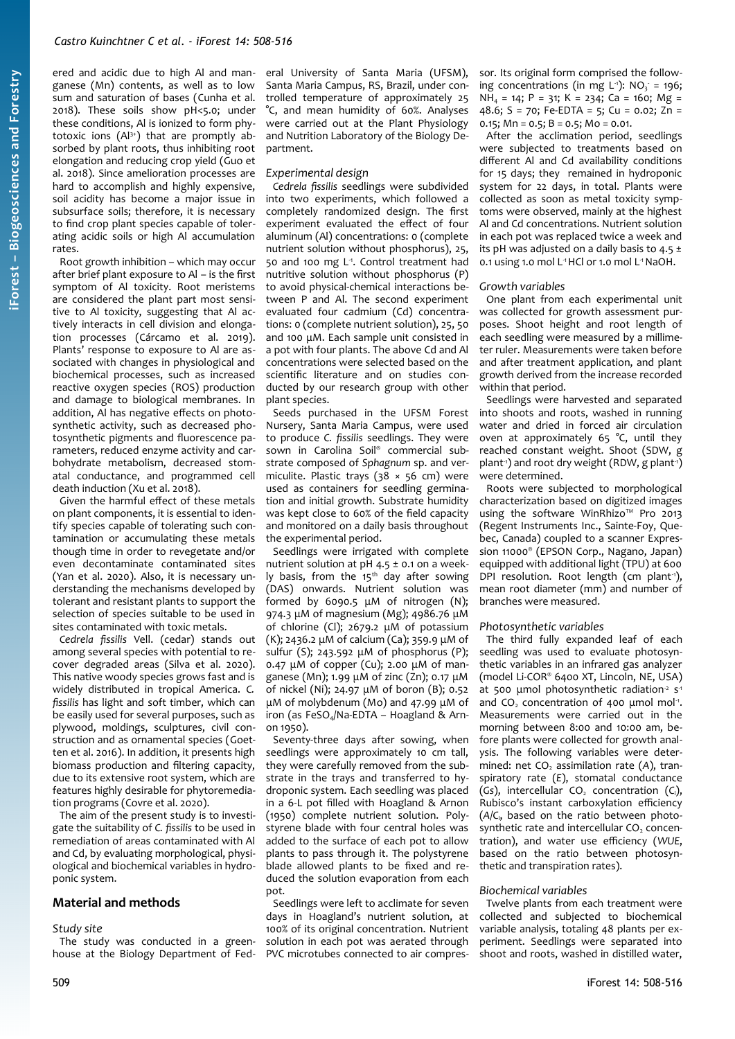ered and acidic due to high Al and manganese (Mn) contents, as well as to low sum and saturation of bases (Cunha et al. 2018). These soils show pH<5.0; under these conditions, Al is ionized to form phytotoxic ions (Al3+) that are promptly absorbed by plant roots, thus inhibiting root elongation and reducing crop yield (Guo et al. 2018). Since amelioration processes are hard to accomplish and highly expensive, soil acidity has become a major issue in subsurface soils; therefore, it is necessary to find crop plant species capable of tolerating acidic soils or high Al accumulation rates.

Root growth inhibition – which may occur after brief plant exposure to Al – is the first symptom of Al toxicity. Root meristems are considered the plant part most sensitive to Al toxicity, suggesting that Al actively interacts in cell division and elongation processes (Cárcamo et al. 2019). Plants' response to exposure to Al are associated with changes in physiological and biochemical processes, such as increased reactive oxygen species (ROS) production and damage to biological membranes. In addition, Al has negative effects on photosynthetic activity, such as decreased photosynthetic pigments and fluorescence parameters, reduced enzyme activity and carbohydrate metabolism, decreased stomatal conductance, and programmed cell death induction (Xu et al. 2018).

Given the harmful effect of these metals on plant components, it is essential to identify species capable of tolerating such contamination or accumulating these metals though time in order to revegetate and/or even decontaminate contaminated sites (Yan et al. 2020). Also, it is necessary understanding the mechanisms developed by tolerant and resistant plants to support the selection of species suitable to be used in sites contaminated with toxic metals.

*Cedrela fissilis* Vell. (cedar) stands out among several species with potential to recover degraded areas (Silva et al. 2020). This native woody species grows fast and is widely distributed in tropical America. *C. fissilis* has light and soft timber, which can be easily used for several purposes, such as plywood, moldings, sculptures, civil construction and as ornamental species (Goetten et al. 2016). In addition, it presents high biomass production and filtering capacity, due to its extensive root system, which are features highly desirable for phytoremediation programs (Covre et al. 2020).

The aim of the present study is to investigate the suitability of *C. fissilis* to be used in remediation of areas contaminated with Al and Cd, by evaluating morphological, physiological and biochemical variables in hydroponic system.

## **Material and methods**

#### *Study site*

The study was conducted in a greenhouse at the Biology Department of Fed-

eral University of Santa Maria (UFSM), Santa Maria Campus, RS, Brazil, under controlled temperature of approximately 25 °C, and mean humidity of 60%. Analyses were carried out at the Plant Physiology and Nutrition Laboratory of the Biology Department.

#### *Experimental design*

*Cedrela fissilis* seedlings were subdivided into two experiments, which followed a completely randomized design. The first experiment evaluated the effect of four aluminum (Al) concentrations: 0 (complete nutrient solution without phosphorus), 25, 50 and 100 mg L<sup>1</sup>. Control treatment had nutritive solution without phosphorus (P) to avoid physical-chemical interactions between P and Al. The second experiment evaluated four cadmium (Cd) concentrations: 0 (complete nutrient solution), 25, 50 and 100 μM. Each sample unit consisted in a pot with four plants. The above Cd and Al concentrations were selected based on the scientific literature and on studies conducted by our research group with other plant species.

Seeds purchased in the UFSM Forest Nursery, Santa Maria Campus, were used to produce *C. fissilis* seedlings. They were sown in Carolina Soil® commercial substrate composed of *Sphagnum* sp. and vermiculite. Plastic trays ( $38 \times 56$  cm) were used as containers for seedling germination and initial growth. Substrate humidity was kept close to 60% of the field capacity and monitored on a daily basis throughout the experimental period.

Seedlings were irrigated with complete nutrient solution at pH  $4.5 \pm 0.1$  on a weekly basis, from the  $15<sup>th</sup>$  day after sowing (DAS) onwards. Nutrient solution was formed by 6090.5 μM of nitrogen (N); 974.3 μM of magnesium (Mg); 4986.76 μM of chlorine (Cl); 2679.2 μM of potassium (K); 2436.2 μM of calcium (Ca); 359.9 μM of sulfur (S); 243.592 μM of phosphorus (P); 0.47 μM of copper (Cu); 2.00 μM of manganese (Mn); 1.99 μM of zinc (Zn); 0.17 μM of nickel (Ni); 24.97 μM of boron (B); 0.52 μM of molybdenum (Mo) and 47.99 μM of iron (as  $FeSO<sub>4</sub>/Na-EDTA - Hoagland & Arn$ on 1950).

Seventy-three days after sowing, when seedlings were approximately 10 cm tall. they were carefully removed from the substrate in the trays and transferred to hydroponic system. Each seedling was placed in a 6-L pot filled with Hoagland & Arnon (1950) complete nutrient solution. Polystyrene blade with four central holes was added to the surface of each pot to allow plants to pass through it. The polystyrene blade allowed plants to be fixed and reduced the solution evaporation from each pot.

Seedlings were left to acclimate for seven days in Hoagland's nutrient solution, at 100% of its original concentration. Nutrient solution in each pot was aerated through PVC microtubes connected to air compres-

sor. Its original form comprised the following concentrations (in mg L<sup>-1</sup>):  $NO_3 = 196$ ;  $NH<sub>4</sub> = 14$ ; P = 31; K = 234; Ca = 160; Mg = 48.6; S = 70; Fe-EDTA = 5; Cu = 0.02; Zn = 0.15; Mn =  $0.5$ ; B =  $0.5$ ; Mo =  $0.01$ .

After the acclimation period, seedlings were subjected to treatments based on different Al and Cd availability conditions for 15 days; they remained in hydroponic system for 22 days, in total. Plants were collected as soon as metal toxicity symptoms were observed, mainly at the highest Al and Cd concentrations. Nutrient solution in each pot was replaced twice a week and its pH was adjusted on a daily basis to 4.5  $\pm$ 0.1 using 1.0 mol L<sup>1</sup>HCl or 1.0 mol L<sup>1</sup> NaOH.

#### *Growth variables*

One plant from each experimental unit was collected for growth assessment purposes. Shoot height and root length of each seedling were measured by a millimeter ruler. Measurements were taken before and after treatment application, and plant growth derived from the increase recorded within that period.

Seedlings were harvested and separated into shoots and roots, washed in running water and dried in forced air circulation oven at approximately 65 °C, until they reached constant weight. Shoot (SDW, g plant<sup>-1</sup>) and root dry weight (RDW, g plant<sup>-1</sup>) were determined.

Roots were subjected to morphological characterization based on digitized images using the software WinRhizo™ Pro 2013 (Regent Instruments Inc., Sainte-Foy, Quebec, Canada) coupled to a scanner Expression 11000® (EPSON Corp., Nagano, Japan) equipped with additional light (TPU) at 600 DPI resolution. Root length (cm plant<sup>1</sup>), mean root diameter (mm) and number of branches were measured.

## *Photosynthetic variables*

The third fully expanded leaf of each seedling was used to evaluate photosynthetic variables in an infrared gas analyzer (model Li-COR® 6400 XT, Lincoln, NE, USA) at 500 umol photosynthetic radiation<sup>2</sup> s<sup>1</sup> and  $CO<sub>2</sub>$  concentration of 400 µmol mol<sup>1</sup>. Measurements were carried out in the morning between 8:00 and 10:00 am, before plants were collected for growth analysis. The following variables were determined: net CO<sub>2</sub> assimilation rate (A), transpiratory rate (*E*), stomatal conductance ( $Gs$ ), intercellular  $CO<sub>2</sub>$  concentration ( $C<sub>i</sub>$ ), Rubisco's instant carboxylation efficiency (*A*/*C*i, based on the ratio between photosynthetic rate and intercellular CO<sub>2</sub> concentration), and water use efficiency (*WUE*, based on the ratio between photosynthetic and transpiration rates).

## *Biochemical variables*

Twelve plants from each treatment were collected and subjected to biochemical variable analysis, totaling 48 plants per experiment. Seedlings were separated into shoot and roots, washed in distilled water,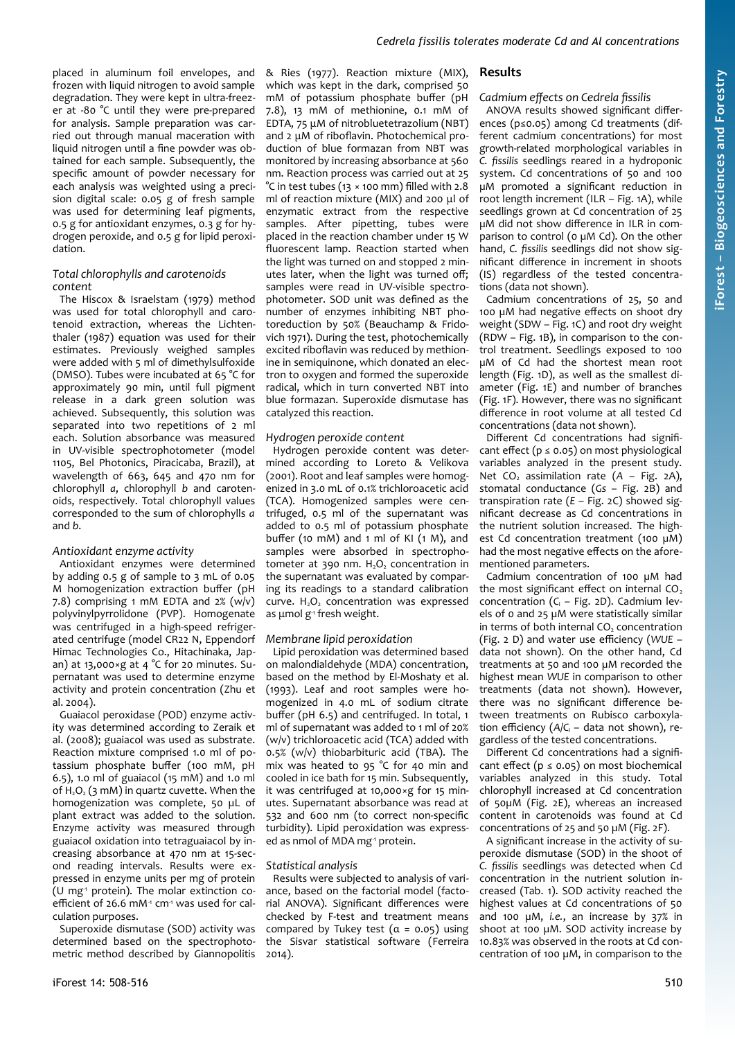placed in aluminum foil envelopes, and frozen with liquid nitrogen to avoid sample degradation. They were kept in ultra-freezer at -80 °C until they were pre-prepared for analysis. Sample preparation was carried out through manual maceration with liquid nitrogen until a fine powder was obtained for each sample. Subsequently, the specific amount of powder necessary for each analysis was weighted using a precision digital scale: 0.05 g of fresh sample was used for determining leaf pigments, 0.5 g for antioxidant enzymes, 0.3 g for hydrogen peroxide, and 0.5 g for lipid peroxidation.

## *Total chlorophylls and carotenoids content*

The Hiscox & Israelstam (1979) method was used for total chlorophyll and carotenoid extraction, whereas the Lichtenthaler (1987) equation was used for their estimates. Previously weighed samples were added with 5 ml of dimethylsulfoxide (DMSO). Tubes were incubated at 65 °C for approximately 90 min, until full pigment release in a dark green solution was achieved. Subsequently, this solution was separated into two repetitions of 2 ml each. Solution absorbance was measured in UV-visible spectrophotometer (model 1105, Bel Photonics, Piracicaba, Brazil), at wavelength of 663, 645 and 470 nm for chlorophyll *a*, chlorophyll *b* and carotenoids, respectively. Total chlorophyll values corresponded to the sum of chlorophylls *a* and *b*.

#### *Antioxidant enzyme activity*

Antioxidant enzymes were determined by adding 0.5 g of sample to 3 mL of 0.05 M homogenization extraction buffer (pH 7.8) comprising 1 mM EDTA and  $2\%$  (w/v) polyvinylpyrrolidone (PVP). Homogenate was centrifuged in a high-speed refrigerated centrifuge (model CR22 N, Eppendorf Himac Technologies Co., Hitachinaka, Japan) at 13,000×g at 4 °C for 20 minutes. Supernatant was used to determine enzyme activity and protein concentration (Zhu et al. 2004).

Guaiacol peroxidase (POD) enzyme activity was determined according to Zeraik et al. (2008); guaiacol was used as substrate. Reaction mixture comprised 1.0 ml of potassium phosphate buffer (100 mM, pH 6.5), 1.0 ml of guaiacol (15 mM) and 1.0 ml of  $H_2O_2$  (3 mM) in quartz cuvette. When the homogenization was complete, 50 µL of plant extract was added to the solution. Enzyme activity was measured through guaiacol oxidation into tetraguaiacol by increasing absorbance at 470 nm at 15-second reading intervals. Results were expressed in enzyme units per mg of protein (U mg<sup>1</sup> protein). The molar extinction coefficient of 26.6 mM $1$  cm $1$  was used for calculation purposes.

Superoxide dismutase (SOD) activity was determined based on the spectrophotometric method described by Giannopolitis & Ries (1977). Reaction mixture (MIX), which was kept in the dark, comprised 50 mM of potassium phosphate buffer (pH 7.8), 13 mM of methionine, 0.1 mM of EDTA, 75 μM of nitrobluetetrazolium (NBT) and 2 μM of riboflavin. Photochemical production of blue formazan from NBT was monitored by increasing absorbance at 560 nm. Reaction process was carried out at 25 °C in test tubes (13 × 100 mm) filled with 2.8 ml of reaction mixture (MIX) and 200 μl of enzymatic extract from the respective samples. After pipetting, tubes were placed in the reaction chamber under 15 W fluorescent lamp. Reaction started when the light was turned on and stopped 2 minutes later, when the light was turned off; samples were read in UV-visible spectrophotometer. SOD unit was defined as the number of enzymes inhibiting NBT photoreduction by 50% (Beauchamp & Fridovich 1971). During the test, photochemically excited riboflavin was reduced by methionine in semiquinone, which donated an electron to oxygen and formed the superoxide radical, which in turn converted NBT into blue formazan. Superoxide dismutase has catalyzed this reaction.

#### *Hydrogen peroxide content*

Hydrogen peroxide content was determined according to Loreto & Velikova (2001). Root and leaf samples were homogenized in 3.0 mL of 0.1% trichloroacetic acid (TCA). Homogenized samples were centrifuged, 0.5 ml of the supernatant was added to 0.5 ml of potassium phosphate buffer (10 mM) and 1 ml of KI  $(1 M)$ , and samples were absorbed in spectrophotometer at 390 nm.  $H_2O_2$  concentration in the supernatant was evaluated by comparing its readings to a standard calibration curve.  $H_2O_2$  concentration was expressed as μmol g<sup>1</sup> fresh weight.

#### *Membrane lipid peroxidation*

Lipid peroxidation was determined based on malondialdehyde (MDA) concentration, based on the method by El-Moshaty et al. (1993). Leaf and root samples were homogenized in 4.0 mL of sodium citrate buffer (pH 6.5) and centrifuged. In total, 1 ml of supernatant was added to 1 ml of 20% (w/v) trichloroacetic acid (TCA) added with 0.5% (w/v) thiobarbituric acid (TBA). The mix was heated to 95 °C for 40 min and cooled in ice bath for 15 min. Subsequently, it was centrifuged at 10,000×g for 15 minutes. Supernatant absorbance was read at 532 and 600 nm (to correct non-specific turbidity). Lipid peroxidation was expressed as nmol of MDA mg<sup>1</sup> protein.

#### *Statistical analysis*

Results were subjected to analysis of variance, based on the factorial model (factorial ANOVA). Significant differences were checked by F-test and treatment means compared by Tukey test  $(a = 0.05)$  using the Sisvar statistical software (Ferreira 2014).

#### **Results**

#### *Cadmium effects on Cedrela fissilis*

ANOVA results showed significant differences (p≤0.05) among Cd treatments (different cadmium concentrations) for most growth-related morphological variables in *C. fissilis* seedlings reared in a hydroponic system. Cd concentrations of 50 and 100 µM promoted a significant reduction in root length increment (ILR – [Fig. 1](#page-3-0)A), while seedlings grown at Cd concentration of 25 µM did not show difference in ILR in comparison to control (0 µM Cd). On the other hand, *C. fissilis* seedlings did not show significant difference in increment in shoots (IS) regardless of the tested concentrations (data not shown).

Cadmium concentrations of 25, 50 and 100 µM had negative effects on shoot dry weight (SDW – [Fig. 1](#page-3-0)C) and root dry weight (RDW – [Fig. 1B](#page-3-0)), in comparison to the control treatment. Seedlings exposed to 100 µM of Cd had the shortest mean root length ([Fig. 1D](#page-3-0)), as well as the smallest diameter ([Fig. 1](#page-3-0)E) and number of branches [\(Fig. 1](#page-3-0)F). However, there was no significant difference in root volume at all tested Cd concentrations (data not shown).

Different Cd concentrations had significant effect ( $p \le 0.05$ ) on most physiological variables analyzed in the present study. Net  $CO<sub>2</sub>$  assimilation rate  $(A - Fig. 2A)$  $(A - Fig. 2A)$  $(A - Fig. 2A)$ , stomatal conductance (*Gs* – [Fig. 2](#page-3-2)B) and transpiration rate (*E* – [Fig. 2](#page-3-2)C) showed significant decrease as Cd concentrations in the nutrient solution increased. The highest Cd concentration treatment (100 µM) had the most negative effects on the aforementioned parameters.

Cadmium concentration of 100 µM had the most significant effect on internal  $CO<sub>2</sub>$ concentration (C<sub>i</sub> – [Fig. 2](#page-3-2)D). Cadmium levels of 0 and 25 µM were statistically similar in terms of both internal CO<sub>2</sub> concentration [\(Fig. 2](#page-3-2) D) and water use efficiency (*WUE* – data not shown). On the other hand, Cd treatments at 50 and 100 µM recorded the highest mean *WUE* in comparison to other treatments (data not shown). However, there was no significant difference between treatments on Rubisco carboxylation efficiency (*A*/*C*<sup>i</sup> – data not shown), regardless of the tested concentrations.

Different Cd concentrations had a significant effect ( $p \le 0.05$ ) on most biochemical variables analyzed in this study. Total chlorophyll increased at Cd concentration of 50µM [\(Fig. 2](#page-3-2)E), whereas an increased content in carotenoids was found at Cd concentrations of 25 and 50 µM [\(Fig. 2](#page-3-2)F).

A significant increase in the activity of superoxide dismutase (SOD) in the shoot of *C. fissilis* seedlings was detected when Cd concentration in the nutrient solution increased [\(Tab. 1\)](#page-3-1). SOD activity reached the highest values at Cd concentrations of 50 and 100 µM, *i.e.*, an increase by 37% in shoot at 100 µM. SOD activity increase by 10.83% was observed in the roots at Cd concentration of 100 µM, in comparison to the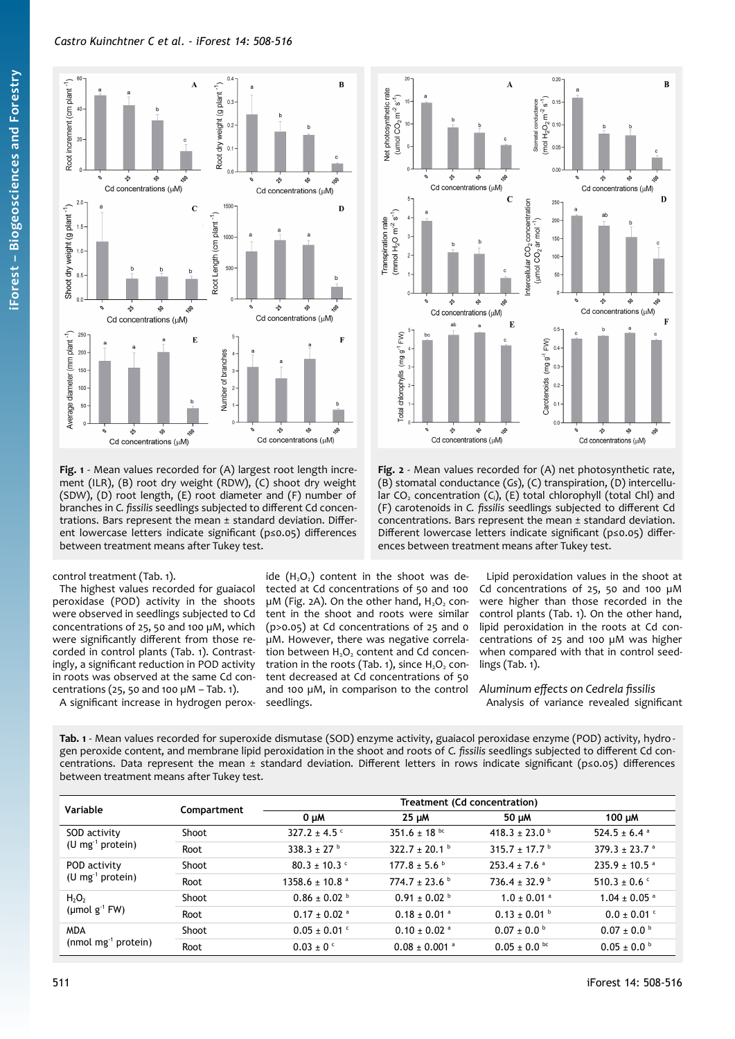



<span id="page-3-0"></span>**Fig. 1** - Mean values recorded for (A) largest root length increment (ILR), (B) root dry weight (RDW), (C) shoot dry weight (SDW), (D) root length, (E) root diameter and (F) number of branches in *C. fissilis* seedlings subjected to different Cd concentrations. Bars represent the mean ± standard deviation. Different lowercase letters indicate significant (p≤0.05) differences between treatment means after Tukey test.

<span id="page-3-2"></span>**Fig. 2** - Mean values recorded for (A) net photosynthetic rate, (B) stomatal conductance (*Gs*), (C) transpiration, (D) intercellular CO<sub>2</sub> concentration (C<sub>i</sub>), (E) total chlorophyll (total Chl) and (F) carotenoids in *C. fissilis* seedlings subjected to different Cd concentrations. Bars represent the mean ± standard deviation. Different lowercase letters indicate significant (p≤0.05) differences between treatment means after Tukey test.

## control treatment ([Tab. 1](#page-3-1)).

The highest values recorded for guaiacol peroxidase (POD) activity in the shoots were observed in seedlings subjected to Cd concentrations of 25, 50 and 100 µM, which were significantly different from those recorded in control plants ([Tab. 1\)](#page-3-1). Contrastingly, a significant reduction in POD activity in roots was observed at the same Cd concentrations (25, 50 and 100  $\mu$ M - [Tab. 1](#page-3-1)). A significant increase in hydrogen perox-

ide  $(H<sub>2</sub>O<sub>2</sub>)$  content in the shoot was detected at Cd concentrations of 50 and 100  $\mu$ M ([Fig. 2](#page-3-2)A). On the other hand, H<sub>2</sub>O<sub>2</sub> content in the shoot and roots were similar (p>0.05) at Cd concentrations of 25 and 0 µM. However, there was negative correlation between  $H_2O_2$  content and Cd concen-tration in the roots ([Tab. 1](#page-3-1)), since  $H_2O_2$  content decreased at Cd concentrations of 50 and 100 µM, in comparison to the control seedlings.

Lipid peroxidation values in the shoot at Cd concentrations of 25, 50 and 100 µM were higher than those recorded in the control plants ([Tab. 1\)](#page-3-1). On the other hand, lipid peroxidation in the roots at Cd concentrations of 25 and 100 µM was higher when compared with that in control seedlings ([Tab. 1](#page-3-1)).

*Aluminum effects on Cedrela fissilis* Analysis of variance revealed significant

<span id="page-3-1"></span>**Tab. 1** - Mean values recorded for superoxide dismutase (SOD) enzyme activity, guaiacol peroxidase enzyme (POD) activity, hydrogen peroxide content, and membrane lipid peroxidation in the shoot and roots of *C. fissilis* seedlings subjected to different Cd concentrations. Data represent the mean ± standard deviation. Different letters in rows indicate significant (p≤0.05) differences between treatment means after Tukey test.

| Variable                                                  | Compartment | Treatment (Cd concentration)   |                               |                               |                               |  |
|-----------------------------------------------------------|-------------|--------------------------------|-------------------------------|-------------------------------|-------------------------------|--|
|                                                           |             | $0 \mu M$                      | $25 \mu M$                    | 50 µM                         | 100 $\mu$ M                   |  |
| SOD activity<br>$(U \, mg^{-1} \, protein)$               | Shoot       | $327.2 \pm 4.5$ °              | 351.6 $\pm$ 18 <sup>bc</sup>  | 418.3 ± 23.0 <sup>b</sup>     | 524.5 ± 6.4 $a$               |  |
|                                                           | Root        | $338.3 \pm 27$ <sup>b</sup>    | 322.7 ± 20.1 $^{\circ}$       | $315.7 \pm 17.7$ <sup>b</sup> | $379.3 \pm 23.7$ <sup>a</sup> |  |
| POD activity<br>$(U \, mg^{-1} \, protein)$               | Shoot       | $80.3 \pm 10.3$ c              | $177.8 \pm 5.6^{\circ}$       | $253.4 \pm 7.6$ <sup>a</sup>  | $235.9 \pm 10.5$ <sup>a</sup> |  |
|                                                           | Root        | $1358.6 \pm 10.8$ <sup>a</sup> | $774.7 \pm 23.6$              | $736.4 \pm 32.9^{\circ}$      | $510.3 \pm 0.6$ °             |  |
| $H_2O_2$<br>(µmol $g^{-1}$ FW)                            | Shoot       | $0.86 \pm 0.02$                | $0.91 \pm 0.02$ <sup>b</sup>  | $1.0 \pm 0.01$ <sup>a</sup>   | $1.04 \pm 0.05$ <sup>a</sup>  |  |
|                                                           | Root        | $0.17 \pm 0.02$ <sup>a</sup>   | $0.18 \pm 0.01$ <sup>a</sup>  | $0.13 \pm 0.01$ b             | $0.0 \pm 0.01$ °              |  |
| <b>MDA</b><br>(nmol mg <sup><math>1</math></sup> protein) | Shoot       | $0.05 \pm 0.01$ c              | $0.10 \pm 0.02$ <sup>a</sup>  | $0.07 \pm 0.0^{\circ}$        | $0.07 \pm 0.0^{\circ}$        |  |
|                                                           | Root        | $0.03 \pm 0$ c                 | $0.08 \pm 0.001$ <sup>a</sup> | $0.05 \pm 0.0$ bc             | $0.05 \pm 0.0^{\circ}$        |  |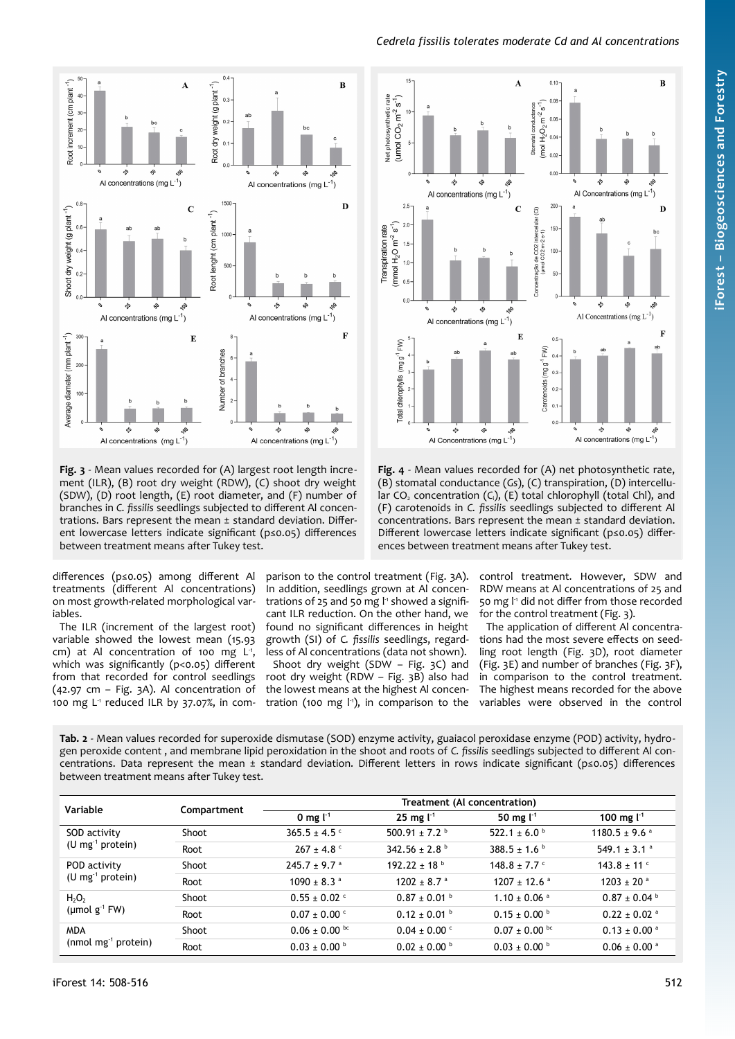$\overline{\mathbf{B}}$ 

.<br>Q

ç,

Al Concentrations (mg  $L^{-1}$ )

io.

 $\overline{B}$ 

Al Concentrations (mg L<sup>-1</sup>)

ò.

 $\mathbf{D}$ 

÷

r.



 $0.10$ 

 $0.06$ 

 $0.04$ 

 $0<sub>0</sub>$ 

200

150

100

50

mol  $H_2O_2 m^2 s^{-1}$ Stomatal conductance

 $\overline{A}$ 



<span id="page-4-0"></span>**Fig. 3** - Mean values recorded for (A) largest root length increment (ILR), (B) root dry weight (RDW), (C) shoot dry weight (SDW), (D) root length, (E) root diameter, and (F) number of branches in *C. fissilis* seedlings subjected to different Al concentrations. Bars represent the mean ± standard deviation. Different lowercase letters indicate significant (p≤0.05) differences between treatment means after Tukey test.

differences (p≤0.05) among different Al treatments (different Al concentrations) on most growth-related morphological variables.

The ILR (increment of the largest root) variable showed the lowest mean (15.93  $cm)$  at Al concentration of 100 mg L<sup>1</sup>, which was significantly (p<0.05) different from that recorded for control seedlings (42.97 cm – [Fig. 3](#page-4-0)A). Al concentration of 100 mg L<sup>1</sup> reduced ILR by 37.07%, in com-

parison to the control treatment [\(Fig. 3A](#page-4-0)). In addition, seedlings grown at Al concentrations of 25 and 50 mg l<sup>1</sup> showed a significant ILR reduction. On the other hand, we found no significant differences in height growth (SI) of *C. fissilis* seedlings, regardless of Al concentrations (data not shown). Shoot dry weight (SDW – [Fig. 3](#page-4-0)C) and root dry weight (RDW – [Fig. 3](#page-4-0)B) also had

rate

Net photosynthetic

(umol  $CO_2 m^2 s^1$ )

 $2.5$ 

 $2.1$ 

 $1.5$ 

 $1.0$ 

 $\mathbf{a}$ 

mmol  $H_2O$  m<sup>-2</sup> s<sup>-1</sup>)

**Transpiration rate** 

∱

ళ

s,

ą,

Al concentrations (mg  $L^{-1}$ )

io.

ø,

 $\mathbf{C}$ 

 $\widehat{\sigma}$ 

lular<sub>1</sub>

ação de CO2 interce<br>(umol CO2 m-2 s-1)

Como

the lowest means at the highest Al concentration (100 mg l<sup>-1</sup>), in comparison to the

<span id="page-4-2"></span>control treatment. However, SDW and RDW means at Al concentrations of 25 and 50 mg l<sup>-1</sup> did not differ from those recorded for the control treatment ([Fig. 3](#page-4-0)).

The application of different Al concentrations had the most severe effects on seedling root length ([Fig. 3](#page-4-0)D), root diameter [\(Fig. 3](#page-4-0)E) and number of branches ([Fig. 3](#page-4-0)F), in comparison to the control treatment. The highest means recorded for the above variables were observed in the control

<span id="page-4-1"></span>**Tab. 2** - Mean values recorded for superoxide dismutase (SOD) enzyme activity, guaiacol peroxidase enzyme (POD) activity, hydrogen peroxide content , and membrane lipid peroxidation in the shoot and roots of *C. fissilis* seedlings subjected to different Al concentrations. Data represent the mean ± standard deviation. Different letters in rows indicate significant (p≤0.05) differences between treatment means after Tukey test.

| Variable                                     | Compartment | Treatment (Al concentration) |                           |                              |                               |  |
|----------------------------------------------|-------------|------------------------------|---------------------------|------------------------------|-------------------------------|--|
|                                              |             | 0 mg $\mathsf{L}^1$          | $25 \text{ mg}$ $1^1$     | 50 mg $1^{-1}$               | 100 mg $l^{-1}$               |  |
| SOD activity<br>$(U \, mg^{-1} \, protein)$  | Shoot       | $365.5 \pm 4.5$ °            | 500.91 ± 7.2 $^{\circ}$   | 522.1 ± 6.0 $^{\circ}$       | $1180.5 \pm 9.6$ <sup>a</sup> |  |
|                                              | Root        | $267 \pm 4.8$                | $342.56 \pm 2.8$          | $388.5 \pm 1.6^{\circ}$      | 549.1 ± 3.1 $^{\circ}$        |  |
| POD activity<br>$(U \, mg^{-1} \, protein)$  | Shoot       | $245.7 \pm 9.7$ <sup>a</sup> | $192.22 + 18^{b}$         | $148.8 \pm 7.7$ °            | $143.8 + 11$                  |  |
|                                              | Root        | $1090 \pm 8.3$ <sup>a</sup>  | $1202 + 8.7$ <sup>a</sup> | $1207 + 12.6$ <sup>a</sup>   | $1203 + 20$ <sup>a</sup>      |  |
| $H_2O_2$<br>(µmol $g^{-1}$ FW)               | Shoot       | $0.55 \pm 0.02$ c            | $0.87 \pm 0.01$ b         | $1.10 \pm 0.06$ <sup>a</sup> | $0.87 \pm 0.04$ b             |  |
|                                              | Root        | $0.07 \pm 0.00$ c            | $0.12 \pm 0.01$ b         | $0.15 \pm 0.00^{\circ}$      | $0.22 \pm 0.02$ <sup>a</sup>  |  |
| <b>MDA</b><br>$(nmol \, mg^{-1} \, protein)$ | Shoot       | $0.06 \pm 0.00$ bc           | $0.04 \pm 0.00$ c         | $0.07 \pm 0.00$ bc           | $0.13 \pm 0.00$ <sup>a</sup>  |  |
|                                              | Root        | $0.03 \pm 0.00$ b            | $0.02 \pm 0.00$ b         | $0.03 \pm 0.00$ b            | $0.06 \pm 0.00$ <sup>a</sup>  |  |

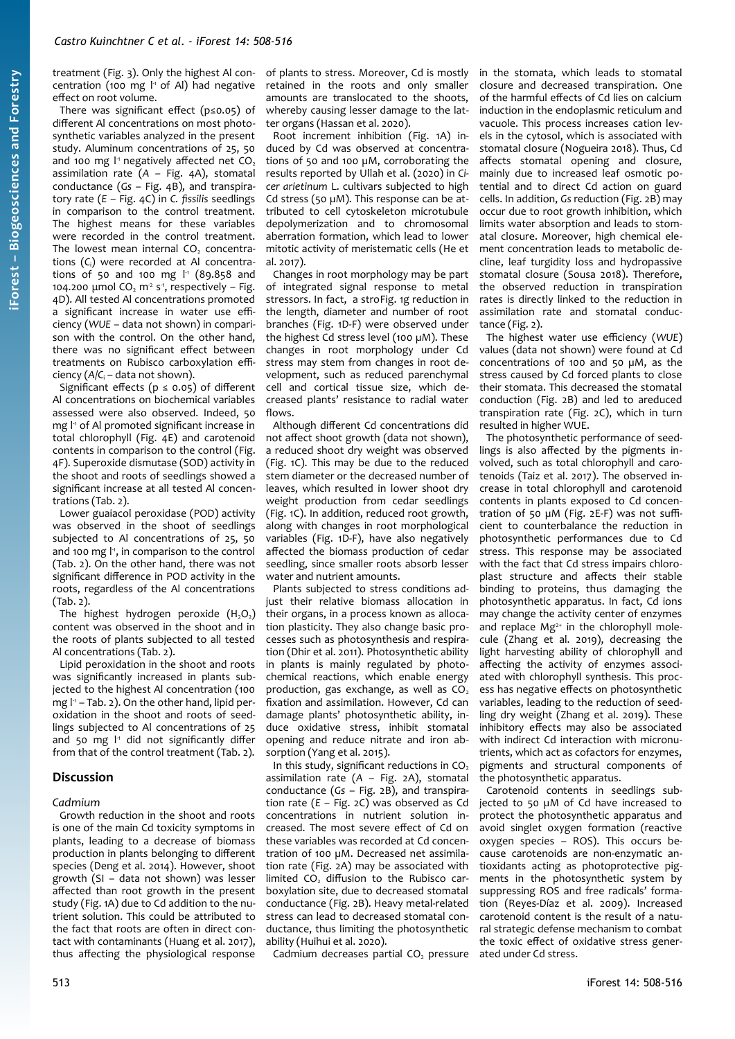treatment ([Fig. 3](#page-4-0)). Only the highest Al concentration (100 mg l<sup>1</sup> of Al) had negative effect on root volume.

There was significant effect (p≤0.05) of different Al concentrations on most photosynthetic variables analyzed in the present study. Aluminum concentrations of 25, 50 and 100 mg  $1<sup>1</sup>$  negatively affected net CO<sub>2</sub> assimilation rate (*A* – [Fig. 4A](#page-4-2)), stomatal conductance (*Gs* – [Fig. 4](#page-4-2)B), and transpiratory rate (*E* – [Fig. 4C](#page-4-2)) in *C. fissilis* seedlings in comparison to the control treatment. The highest means for these variables were recorded in the control treatment. The lowest mean internal  $CO<sub>2</sub>$  concentrations (*C*i) were recorded at Al concentrations of 50 and 100 mg I<sup>1</sup> (89.858 and 104.200 μmol  $CO<sub>2</sub>$  m<sup>2</sup> s<sup>-1</sup>, respectively – [Fig.](#page-4-2) [4](#page-4-2)D). All tested Al concentrations promoted a significant increase in water use efficiency (*WUE* – data not shown) in comparison with the control. On the other hand, there was no significant effect between treatments on Rubisco carboxylation efficiency (*A*/*C*<sup>i</sup> – data not shown).

Significant effects ( $p \le 0.05$ ) of different Al concentrations on biochemical variables assessed were also observed. Indeed, 50 mg l<sup>1</sup> of Al promoted significant increase in total chlorophyll ([Fig. 4E](#page-4-2)) and carotenoid contents in comparison to the control [\(Fig.](#page-4-2) [4](#page-4-2)F). Superoxide dismutase (SOD) activity in the shoot and roots of seedlings showed a significant increase at all tested Al concentrations [\(Tab. 2](#page-4-1)).

Lower guaiacol peroxidase (POD) activity was observed in the shoot of seedlings subjected to Al concentrations of 25, 50 and 100 mg l<sup>1</sup>, in comparison to the control ([Tab. 2](#page-4-1)). On the other hand, there was not significant difference in POD activity in the roots, regardless of the Al concentrations ([Tab. 2\)](#page-4-1).

The highest hydrogen peroxide  $(H_2O_2)$ content was observed in the shoot and in the roots of plants subjected to all tested Al concentrations [\(Tab. 2\)](#page-4-1).

Lipid peroxidation in the shoot and roots was significantly increased in plants subjected to the highest Al concentration (100 mg l -1 – [Tab. 2](#page-4-1)). On the other hand, lipid peroxidation in the shoot and roots of seedlings subjected to Al concentrations of 25 and 50 mg l<sup>1</sup> did not significantly differ from that of the control treatment ([Tab. 2](#page-4-1)).

## **Discussion**

#### *Cadmium*

Growth reduction in the shoot and roots is one of the main Cd toxicity symptoms in plants, leading to a decrease of biomass production in plants belonging to different species (Deng et al. 2014). However, shoot growth (SI – data not shown) was lesser affected than root growth in the present study ([Fig. 1](#page-3-0)A) due to Cd addition to the nutrient solution. This could be attributed to the fact that roots are often in direct contact with contaminants (Huang et al. 2017), thus affecting the physiological response

of plants to stress. Moreover, Cd is mostly retained in the roots and only smaller amounts are translocated to the shoots, whereby causing lesser damage to the latter organs (Hassan et al. 2020).

Root increment inhibition [\(Fig. 1](#page-3-0)A) induced by Cd was observed at concentrations of 50 and 100 µM, corroborating the results reported by Ullah et al. (2020) in *Cicer arietinum* L. cultivars subjected to high Cd stress (50 µM). This response can be attributed to cell cytoskeleton microtubule depolymerization and to chromosomal aberration formation, which lead to lower mitotic activity of meristematic cells (He et al. 2017).

Changes in root morphology may be part of integrated signal response to metal stressors. In fact, a stro[Fig. 1g](#page-3-0) reduction in the length, diameter and number of root branches ([Fig. 1D](#page-3-0)-F) were observed under the highest Cd stress level (100 µM). These changes in root morphology under Cd stress may stem from changes in root development, such as reduced parenchymal cell and cortical tissue size, which decreased plants' resistance to radial water flows.

Although different Cd concentrations did not affect shoot growth (data not shown), a reduced shoot dry weight was observed ([Fig. 1C](#page-3-0)). This may be due to the reduced stem diameter or the decreased number of leaves, which resulted in lower shoot dry weight production from cedar seedlings ([Fig. 1C](#page-3-0)). In addition, reduced root growth, along with changes in root morphological variables [\(Fig. 1](#page-3-0)D-F), have also negatively affected the biomass production of cedar seedling, since smaller roots absorb lesser water and nutrient amounts.

Plants subjected to stress conditions adjust their relative biomass allocation in their organs, in a process known as allocation plasticity. They also change basic processes such as photosynthesis and respiration (Dhir et al. 2011). Photosynthetic ability in plants is mainly regulated by photochemical reactions, which enable energy production, gas exchange, as well as  $CO<sub>2</sub>$ fixation and assimilation. However, Cd can damage plants' photosynthetic ability, induce oxidative stress, inhibit stomatal opening and reduce nitrate and iron absorption (Yang et al. 2015).

In this study, significant reductions in  $CO<sub>2</sub>$ assimilation rate (*A* – [Fig. 2A](#page-3-2)), stomatal conductance (*Gs* – [Fig. 2B](#page-3-2)), and transpiration rate (*E* – [Fig. 2](#page-3-2)C) was observed as Cd concentrations in nutrient solution increased. The most severe effect of Cd on these variables was recorded at Cd concentration of 100 µM. Decreased net assimilation rate [\(Fig. 2](#page-3-2)A) may be associated with limited CO<sub>2</sub> diffusion to the Rubisco carboxylation site, due to decreased stomatal conductance ([Fig. 2](#page-3-2)B). Heavy metal-related stress can lead to decreased stomatal conductance, thus limiting the photosynthetic ability (Huihui et al. 2020).

Cadmium decreases partial CO<sub>2</sub> pressure

in the stomata, which leads to stomatal closure and decreased transpiration. One of the harmful effects of Cd lies on calcium induction in the endoplasmic reticulum and vacuole. This process increases cation levels in the cytosol, which is associated with stomatal closure (Nogueira 2018). Thus, Cd affects stomatal opening and closure, mainly due to increased leaf osmotic potential and to direct Cd action on guard cells. In addition, *Gs* reduction ([Fig. 2](#page-3-2)B) may occur due to root growth inhibition, which limits water absorption and leads to stomatal closure. Moreover, high chemical element concentration leads to metabolic decline, leaf turgidity loss and hydropassive stomatal closure (Sousa 2018). Therefore, the observed reduction in transpiration rates is directly linked to the reduction in assimilation rate and stomatal conductance ([Fig. 2](#page-3-2)).

The highest water use efficiency (*WUE*) values (data not shown) were found at Cd concentrations of 100 and 50 µM, as the stress caused by Cd forced plants to close their stomata. This decreased the stomatal conduction [\(Fig. 2B](#page-3-2)) and led to areduced transpiration rate ([Fig. 2](#page-3-2)C), which in turn resulted in higher WUE.

The photosynthetic performance of seedlings is also affected by the pigments involved, such as total chlorophyll and carotenoids (Taiz et al. 2017). The observed increase in total chlorophyll and carotenoid contents in plants exposed to Cd concentration of 50 µM ([Fig. 2E](#page-3-2)-F) was not sufficient to counterbalance the reduction in photosynthetic performances due to Cd stress. This response may be associated with the fact that Cd stress impairs chloroplast structure and affects their stable binding to proteins, thus damaging the photosynthetic apparatus. In fact, Cd ions may change the activity center of enzymes and replace  $Mg^{2+}$  in the chlorophyll molecule (Zhang et al. 2019), decreasing the light harvesting ability of chlorophyll and affecting the activity of enzymes associated with chlorophyll synthesis. This process has negative effects on photosynthetic variables, leading to the reduction of seedling dry weight (Zhang et al. 2019). These inhibitory effects may also be associated with indirect Cd interaction with micronutrients, which act as cofactors for enzymes, pigments and structural components of the photosynthetic apparatus.

Carotenoid contents in seedlings subjected to 50 µM of Cd have increased to protect the photosynthetic apparatus and avoid singlet oxygen formation (reactive oxygen species – ROS). This occurs because carotenoids are non-enzymatic antioxidants acting as photoprotective pigments in the photosynthetic system by suppressing ROS and free radicals' formation (Reyes-Díaz et al. 2009). Increased carotenoid content is the result of a natural strategic defense mechanism to combat the toxic effect of oxidative stress generated under Cd stress.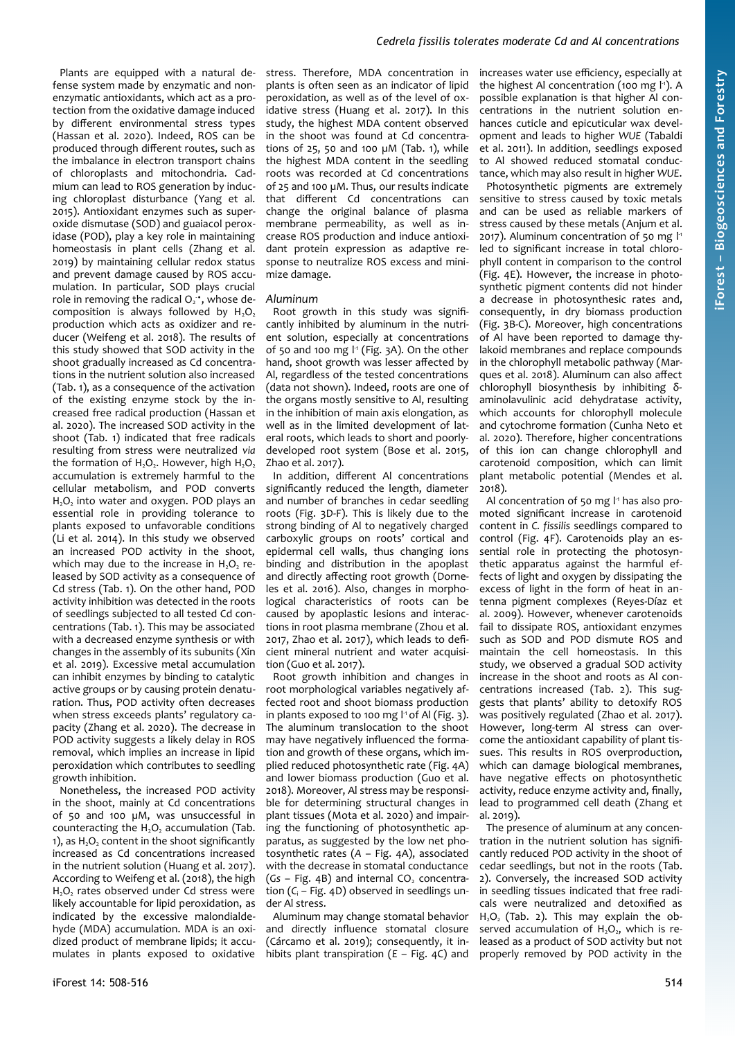Plants are equipped with a natural defense system made by enzymatic and nonenzymatic antioxidants, which act as a protection from the oxidative damage induced by different environmental stress types (Hassan et al. 2020). Indeed, ROS can be produced through different routes, such as the imbalance in electron transport chains of chloroplasts and mitochondria. Cadmium can lead to ROS generation by inducing chloroplast disturbance (Yang et al. 2015). Antioxidant enzymes such as superoxide dismutase (SOD) and guaiacol peroxidase (POD), play a key role in maintaining homeostasis in plant cells (Zhang et al. 2019) by maintaining cellular redox status and prevent damage caused by ROS accumulation. In particular, SOD plays crucial role in removing the radical  $O_2$ <sup>+</sup>, whose decomposition is always followed by  $H_2O_2$ production which acts as oxidizer and reducer (Weifeng et al. 2018). The results of this study showed that SOD activity in the shoot gradually increased as Cd concentrations in the nutrient solution also increased ([Tab. 1](#page-3-1)), as a consequence of the activation of the existing enzyme stock by the increased free radical production (Hassan et al. 2020). The increased SOD activity in the shoot [\(Tab. 1](#page-3-1)) indicated that free radicals resulting from stress were neutralized *via* the formation of  $H_2O_2$ . However, high  $H_2O_2$ accumulation is extremely harmful to the cellular metabolism, and POD converts  $H_2O_2$  into water and oxygen. POD plays an essential role in providing tolerance to plants exposed to unfavorable conditions (Li et al. 2014). In this study we observed an increased POD activity in the shoot, which may due to the increase in  $H_2O_2$  released by SOD activity as a consequence of Cd stress [\(Tab. 1](#page-3-1)). On the other hand, POD activity inhibition was detected in the roots of seedlings subjected to all tested Cd concentrations [\(Tab. 1](#page-3-1)). This may be associated with a decreased enzyme synthesis or with changes in the assembly of its subunits (Xin et al. 2019). Excessive metal accumulation can inhibit enzymes by binding to catalytic active groups or by causing protein denaturation. Thus, POD activity often decreases when stress exceeds plants' regulatory capacity (Zhang et al. 2020). The decrease in POD activity suggests a likely delay in ROS removal, which implies an increase in lipid peroxidation which contributes to seedling growth inhibition.

Nonetheless, the increased POD activity in the shoot, mainly at Cd concentrations of 50 and 100 µM, was unsuccessful in counteracting the  $H<sub>2</sub>O<sub>2</sub>$  accumulation [\(Tab.](#page-3-1) [1\)](#page-3-1), as  $H_2O_2$  content in the shoot significantly increased as Cd concentrations increased in the nutrient solution (Huang et al. 2017). According to Weifeng et al. (2018), the high H<sub>2</sub>O<sub>2</sub> rates observed under Cd stress were likely accountable for lipid peroxidation, as indicated by the excessive malondialdehyde (MDA) accumulation. MDA is an oxidized product of membrane lipids; it accumulates in plants exposed to oxidative

stress. Therefore, MDA concentration in plants is often seen as an indicator of lipid peroxidation, as well as of the level of oxidative stress (Huang et al. 2017). In this study, the highest MDA content observed in the shoot was found at Cd concentrations of 25, 50 and 100  $\mu$ M [\(Tab. 1\)](#page-3-1), while the highest MDA content in the seedling roots was recorded at Cd concentrations of 25 and 100 µM. Thus, our results indicate that different Cd concentrations can change the original balance of plasma membrane permeability, as well as increase ROS production and induce antioxidant protein expression as adaptive response to neutralize ROS excess and minimize damage.

#### *Aluminum*

Root growth in this study was significantly inhibited by aluminum in the nutrient solution, especially at concentrations of 50 and 100 mg l<sup>1</sup> [\(Fig. 3](#page-4-0)A). On the other hand, shoot growth was lesser affected by Al, regardless of the tested concentrations (data not shown). Indeed, roots are one of the organs mostly sensitive to Al, resulting in the inhibition of main axis elongation, as well as in the limited development of lateral roots, which leads to short and poorlydeveloped root system (Bose et al. 2015, Zhao et al. 2017).

In addition, different Al concentrations significantly reduced the length, diameter and number of branches in cedar seedling roots [\(Fig. 3](#page-4-0)D-F). This is likely due to the strong binding of Al to negatively charged carboxylic groups on roots' cortical and epidermal cell walls, thus changing ions binding and distribution in the apoplast and directly affecting root growth (Dorneles et al. 2016). Also, changes in morphological characteristics of roots can be caused by apoplastic lesions and interactions in root plasma membrane (Zhou et al. 2017, Zhao et al. 2017), which leads to deficient mineral nutrient and water acquisition (Guo et al. 2017).

Root growth inhibition and changes in root morphological variables negatively affected root and shoot biomass production in plants exposed to 100 mg  $l$ <sup>1</sup> of Al [\(Fig. 3](#page-4-0)). The aluminum translocation to the shoot may have negatively influenced the formation and growth of these organs, which implied reduced photosynthetic rate ([Fig. 4](#page-4-2)A) and lower biomass production (Guo et al. 2018). Moreover, Al stress may be responsible for determining structural changes in plant tissues (Mota et al. 2020) and impairing the functioning of photosynthetic apparatus, as suggested by the low net photosynthetic rates (*A* – [Fig. 4](#page-4-2)A), associated with the decrease in stomatal conductance (Gs – [Fig. 4](#page-4-2)B) and internal CO<sub>2</sub> concentration (*C*<sup>i</sup> – [Fig. 4D](#page-4-2)) observed in seedlings under Al stress.

Aluminum may change stomatal behavior and directly influence stomatal closure (Cárcamo et al. 2019); consequently, it inhibits plant transpiration (*E* – [Fig. 4](#page-4-2)C) and increases water use efficiency, especially at the highest Al concentration (100 mg l<sup>1</sup>). A possible explanation is that higher Al concentrations in the nutrient solution enhances cuticle and epicuticular wax development and leads to higher *WUE* (Tabaldi et al. 2011). In addition, seedlings exposed to Al showed reduced stomatal conductance, which may also result in higher *WUE*.

*Cedrela fissilis tolerates moderate Cd and Al concentrations*

Photosynthetic pigments are extremely sensitive to stress caused by toxic metals and can be used as reliable markers of stress caused by these metals (Anjum et al. 2017). Aluminum concentration of 50 mg l<sup>1</sup> led to significant increase in total chlorophyll content in comparison to the control [\(Fig. 4](#page-4-2)E). However, the increase in photosynthetic pigment contents did not hinder a decrease in photosynthesic rates and, consequently, in dry biomass production [\(Fig. 3](#page-4-0)B-C). Moreover, high concentrations of Al have been reported to damage thylakoid membranes and replace compounds in the chlorophyll metabolic pathway (Marques et al. 2018). Aluminum can also affect chlorophyll biosynthesis by inhibiting δaminolavulinic acid dehydratase activity, which accounts for chlorophyll molecule and cytochrome formation (Cunha Neto et al. 2020). Therefore, higher concentrations of this ion can change chlorophyll and carotenoid composition, which can limit plant metabolic potential (Mendes et al. 2018).

Al concentration of 50 mg l<sup>1</sup> has also promoted significant increase in carotenoid content in *C. fissilis* seedlings compared to control [\(Fig. 4](#page-4-2)F). Carotenoids play an essential role in protecting the photosynthetic apparatus against the harmful effects of light and oxygen by dissipating the excess of light in the form of heat in antenna pigment complexes (Reyes-Díaz et al. 2009). However, whenever carotenoids fail to dissipate ROS, antioxidant enzymes such as SOD and POD dismute ROS and maintain the cell homeostasis. In this study, we observed a gradual SOD activity increase in the shoot and roots as Al concentrations increased [\(Tab. 2\)](#page-4-1). This suggests that plants' ability to detoxify ROS was positively regulated (Zhao et al. 2017). However, long-term Al stress can overcome the antioxidant capability of plant tissues. This results in ROS overproduction, which can damage biological membranes, have negative effects on photosynthetic activity, reduce enzyme activity and, finally, lead to programmed cell death (Zhang et al. 2019).

The presence of aluminum at any concentration in the nutrient solution has significantly reduced POD activity in the shoot of cedar seedlings, but not in the roots ([Tab.](#page-4-1) [2\)](#page-4-1). Conversely, the increased SOD activity in seedling tissues indicated that free radicals were neutralized and detoxified as H<sub>2</sub>O<sub>2</sub> ([Tab. 2](#page-4-1)). This may explain the observed accumulation of  $H_2O_2$ , which is released as a product of SOD activity but not properly removed by POD activity in the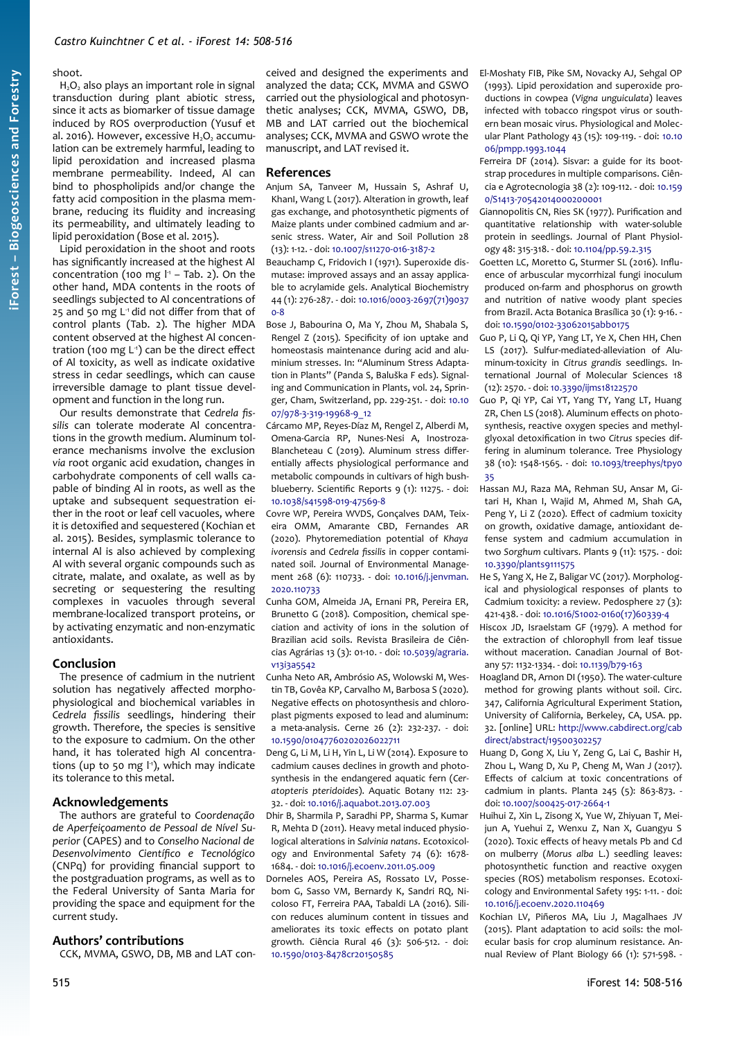# shoot.

 $H_2O_2$  also plays an important role in signal transduction during plant abiotic stress, since it acts as biomarker of tissue damage induced by ROS overproduction (Yusuf et al. 2016). However, excessive  $H_2O_2$  accumulation can be extremely harmful, leading to lipid peroxidation and increased plasma membrane permeability. Indeed, Al can bind to phospholipids and/or change the fatty acid composition in the plasma membrane, reducing its fluidity and increasing its permeability, and ultimately leading to lipid peroxidation (Bose et al. 2015).

Lipid peroxidation in the shoot and roots has significantly increased at the highest Al concentration (100 mg  $l<sup>1</sup>$  – [Tab. 2\)](#page-4-1). On the other hand, MDA contents in the roots of seedlings subjected to Al concentrations of 25 and 50 mg L<sup>1</sup> did not differ from that of control plants ([Tab. 2](#page-4-1)). The higher MDA content observed at the highest Al concentration (100 mg  $L<sup>1</sup>$ ) can be the direct effect of Al toxicity, as well as indicate oxidative stress in cedar seedlings, which can cause irreversible damage to plant tissue development and function in the long run.

Our results demonstrate that *Cedrela fissilis* can tolerate moderate Al concentrations in the growth medium. Aluminum tolerance mechanisms involve the exclusion *via* root organic acid exudation, changes in carbohydrate components of cell walls capable of binding Al in roots, as well as the uptake and subsequent sequestration either in the root or leaf cell vacuoles, where it is detoxified and sequestered (Kochian et al. 2015). Besides, symplasmic tolerance to internal Al is also achieved by complexing Al with several organic compounds such as citrate, malate, and oxalate, as well as by secreting or sequestering the resulting complexes in vacuoles through several membrane-localized transport proteins, or by activating enzymatic and non-enzymatic antioxidants.

## **Conclusion**

The presence of cadmium in the nutrient solution has negatively affected morphophysiological and biochemical variables in *Cedrela fissilis* seedlings, hindering their growth. Therefore, the species is sensitive to the exposure to cadmium. On the other hand, it has tolerated high Al concentrations (up to 50 mg l<sup>1</sup>), which may indicate its tolerance to this metal.

## **Acknowledgements**

The authors are grateful to *Coordenação de Aperfeiçoamento de Pessoal de Nível Superior* (CAPES) and to *Conselho Nacional de Desenvolvimento Científico e Tecnológico* (CNPq) for providing financial support to the postgraduation programs, as well as to the Federal University of Santa Maria for providing the space and equipment for the current study.

# **Authors' contributions**

CCK, MVMA, GSWO, DB, MB and LAT con-

ceived and designed the experiments and analyzed the data; CCK, MVMA and GSWO carried out the physiological and photosynthetic analyses; CCK, MVMA, GSWO, DB, MB and LAT carried out the biochemical analyses; CCK, MVMA and GSWO wrote the manuscript, and LAT revised it.

#### **References**

- Anjum SA, Tanveer M, Hussain S, Ashraf U, KhanI, Wang L (2017). Alteration in growth, leaf gas exchange, and photosynthetic pigments of Maize plants under combined cadmium and arsenic stress. Water, Air and Soil Pollution 28 (13): 1-12. - doi: [10.1007/s11270-016-3187-2](https://doi.org/10.1007/s11270-016-3187-2)
- Beauchamp C, Fridovich I (1971). Superoxide dismutase: improved assays and an assay applicable to acrylamide gels. Analytical Biochemistry 44 (1): 276-287. - doi: [10.1016/0003-2697\(71\)9037](https://doi.org/10.1016/0003-2697(71)90370-8) [0-8](https://doi.org/10.1016/0003-2697(71)90370-8)
- Bose J, Babourina O, Ma Y, Zhou M, Shabala S, Rengel Z (2015). Specificity of ion uptake and homeostasis maintenance during acid and aluminium stresses. In: "Aluminum Stress Adaptation in Plants" (Panda S, Baluška F eds). Signaling and Communication in Plants, vol. 24, Springer, Cham, Switzerland, pp. 229-251. - doi: [10.10](https://doi.org/10.1007/978-3-319-19968-9_12) [07/978-3-319-19968-9\\_12](https://doi.org/10.1007/978-3-319-19968-9_12)
- Cárcamo MP, Reyes-Díaz M, Rengel Z, Alberdi M, Omena-Garcia RP, Nunes-Nesi A, Inostroza-Blancheteau C (2019). Aluminum stress differentially affects physiological performance and metabolic compounds in cultivars of high bushblueberry. Scientific Reports 9 (1): 11275. - doi: [10.1038/s41598-019-47569-8](https://doi.org/10.1038/s41598-019-47569-8)
- Covre WP, Pereira WVDS, Gonçalves DAM, Teixeira OMM, Amarante CBD, Fernandes AR (2020). Phytoremediation potential of *Khaya ivorensis* and *Cedrela fissilis* in copper contaminated soil. Journal of Environmental Management 268 (6): 110733. - doi: [10.1016/j.jenvman.](https://doi.org/10.1016/j.jenvman.2020.110733) [2020.110733](https://doi.org/10.1016/j.jenvman.2020.110733)
- Cunha GOM, Almeida JA, Ernani PR, Pereira ER, Brunetto G (2018). Composition, chemical speciation and activity of ions in the solution of Brazilian acid soils. Revista Brasileira de Ciências Agrárias 13 (3): 01-10. - doi: [10.5039/agraria.](https://doi.org/10.5039/agraria.v13i3a5542) [v13i3a5542](https://doi.org/10.5039/agraria.v13i3a5542)
- Cunha Neto AR, Ambrósio AS, Wolowski M, Westin TB, Govêa KP, Carvalho M, Barbosa S (2020). Negative effects on photosynthesis and chloroplast pigments exposed to lead and aluminum: a meta-analysis. Cerne 26 (2): 232-237. - doi: [10.1590/01047760202026022711](https://doi.org/10.1590/01047760202026022711)
- Deng G, Li M, Li H, Yin L, Li W (2014). Exposure to cadmium causes declines in growth and photosynthesis in the endangered aquatic fern (*Ceratopteris pteridoides*). Aquatic Botany 112: 23- 32. - doi: [10.1016/j.aquabot.2013.07.003](https://doi.org/10.1016/j.aquabot.2013.07.003)
- Dhir B, Sharmila P, Saradhi PP, Sharma S, Kumar R, Mehta D (2011). Heavy metal induced physiological alterations in *Salvinia natans*. Ecotoxicology and Environmental Safety 74 (6): 1678- 1684. - doi: [10.1016/j.ecoenv.2011.05.009](https://doi.org/10.1016/j.ecoenv.2011.05.009)
- Dorneles AOS, Pereira AS, Rossato LV, Possebom G, Sasso VM, Bernardy K, Sandri RQ, Nicoloso FT, Ferreira PAA, Tabaldi LA (2016). Silicon reduces aluminum content in tissues and ameliorates its toxic effects on potato plant growth. Ciência Rural 46 (3): 506-512. - doi: [10.1590/0103-8478cr20150585](https://doi.org/10.1590/0103-8478cr20150585)
- El-Moshaty FIB, Pike SM, Novacky AJ, Sehgal OP (1993). Lipid peroxidation and superoxide productions in cowpea (*Vigna unguiculata*) leaves infected with tobacco ringspot virus or southern bean mosaic virus. Physiological and Molecular Plant Pathology 43 (15): 109-119. - doi: [10.10](https://doi.org/10.1006/pmpp.1993.1044) [06/pmpp.1993.1044](https://doi.org/10.1006/pmpp.1993.1044)
- Ferreira DF (2014). Sisvar: a guide for its bootstrap procedures in multiple comparisons. Ciência e Agrotecnologia 38 (2): 109-112. - doi: [10.159](https://doi.org/10.1590/S1413-70542014000200001) [0/S1413-70542014000200001](https://doi.org/10.1590/S1413-70542014000200001)
- Giannopolitis CN, Ries SK (1977). Purification and quantitative relationship with water-soluble protein in seedlings. Journal of Plant Physiology 48: 315-318. - doi: [10.1104/pp.59.2.315](https://doi.org/10.1104/pp.59.2.315)
- Goetten LC, Moretto G, Sturmer SL (2016). Influence of arbuscular mycorrhizal fungi inoculum produced on-farm and phosphorus on growth and nutrition of native woody plant species from Brazil. Acta Botanica Brasílica 30 (1): 9-16. doi: [10.1590/0102-33062015abb0175](https://doi.org/10.1590/0102-33062015abb0175)
- Guo P, Li Q, Qi YP, Yang LT, Ye X, Chen HH, Chen LS (2017). Sulfur-mediated-alleviation of Aluminum-toxicity in *Citrus grandis* seedlings. International Journal of Molecular Sciences 18 (12): 2570. - doi: [10.3390/ijms18122570](https://doi.org/10.3390/ijms18122570)
- Guo P, Qi YP, Cai YT, Yang TY, Yang LT, Huang ZR, Chen LS (2018). Aluminum effects on photosynthesis, reactive oxygen species and methylglyoxal detoxification in two *Citrus* species differing in aluminum tolerance. Tree Physiology 38 (10): 1548-1565. - doi: [10.1093/treephys/tpy0](https://doi.org/10.1093/treephys/tpy035) [35](https://doi.org/10.1093/treephys/tpy035)
- Hassan MJ, Raza MA, Rehman SU, Ansar M, Gitari H, Khan I, Wajid M, Ahmed M, Shah GA, Peng Y, Li Z (2020). Effect of cadmium toxicity on growth, oxidative damage, antioxidant defense system and cadmium accumulation in two *Sorghum* cultivars. Plants 9 (11): 1575. - doi: [10.3390/plants9111575](https://doi.org/10.3390/plants9111575)
- He S, Yang X, He Z, Baligar VC (2017). Morphological and physiological responses of plants to Cadmium toxicity: a review. Pedosphere 27 (3): 421-438. - doi: [10.1016/S1002-0160\(17\)60339-4](https://doi.org/10.1016/S1002-0160(17)60339-4)
- Hiscox JD, Israelstam GF (1979). A method for the extraction of chlorophyll from leaf tissue without maceration. Canadian Journal of Botany 57: 1132-1334. - doi: [10.1139/b79-163](https://doi.org/10.1139/b79-163)
- Hoagland DR, Arnon DI (1950). The water-culture method for growing plants without soil. Circ. 347, California Agricultural Experiment Station, University of California, Berkeley, CA, USA. pp. 32. [online] URL: [http://www.cabdirect.org/cab](http://www.cabdirect.org/cabdirect/abstract/19500302257) [direct/abstract/19500302257](http://www.cabdirect.org/cabdirect/abstract/19500302257)
- Huang D, Gong X, Liu Y, Zeng G, Lai C, Bashir H, Zhou L, Wang D, Xu P, Cheng M, Wan J (2017). Effects of calcium at toxic concentrations of cadmium in plants. Planta 245 (5): 863-873. doi: [10.1007/s00425-017-2664-1](https://doi.org/10.1007/s00425-017-2664-1)
- Huihui Z, Xin L, Zisong X, Yue W, Zhiyuan T, Meijun A, Yuehui Z, Wenxu Z, Nan X, Guangyu S (2020). Toxic effects of heavy metals Pb and Cd on mulberry (*Morus alba* L.) seedling leaves: photosynthetic function and reactive oxygen species (ROS) metabolism responses. Ecotoxicology and Environmental Safety 195: 1-11. - doi: [10.1016/j.ecoenv.2020.110469](https://doi.org/10.1016/j.ecoenv.2020.110469)
- Kochian LV, Piñeros MA, Liu J, Magalhaes JV (2015). Plant adaptation to acid soils: the molecular basis for crop aluminum resistance. Annual Review of Plant Biology 66 (1): 571-598. -